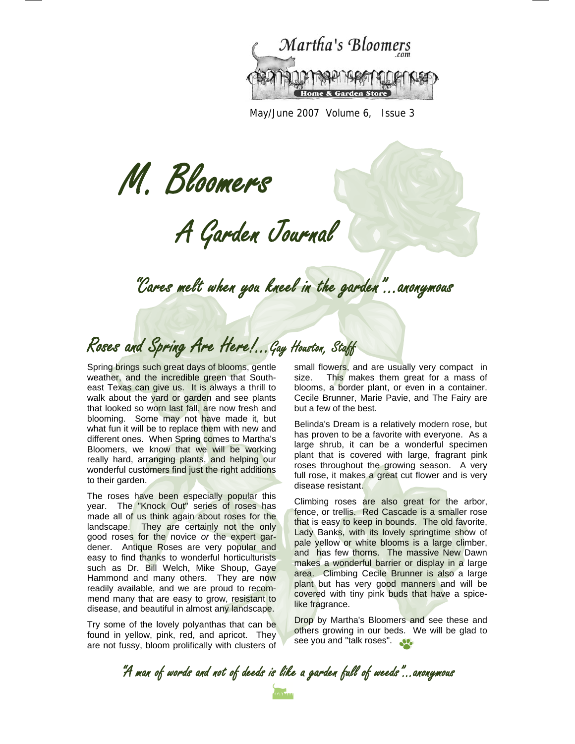

May/June 2007 Volume 6, Issue 3

M. Bloomers

A Garden Journal

"Cares melt when you kneel in the garden"...anonymous

Roses and Spring Are Here!...Gay Houston, Staff

Spring brings such great days of blooms, gentle weather, and the incredible green that Southeast Texas can give us. It is always a thrill to walk about the yard or garden and see plants that looked so worn last fall, are now fresh and blooming. Some may not have made it, but what fun it will be to replace them with new and different ones. When Spring comes to Martha's Bloomers, we know that we will be working really hard, arranging plants, and helping our wonderful customers find just the right additions to their garden.

The roses have been especially popular this year. The "Knock Out" series of roses has made all of us think again about roses for the landscape. They are certainly not the only good roses for the novice *or* the expert gardener. Antique Roses are very popular and easy to find thanks to wonderful horticulturists such as Dr. Bill Welch, Mike Shoup, Gaye Hammond and many others. They are now readily available, and we are proud to recommend many that are easy to grow, resistant to disease, and beautiful in almost any landscape.

Try some of the lovely polyanthas that can be found in yellow, pink, red, and apricot. They are not fussy, bloom prolifically with clusters of small flowers, and are usually very compact in size. This makes them great for a mass of blooms, a border plant, or even in a container. Cecile Brunner, Marie Pavie, and The Fairy are but a few of the best.

Belinda's Dream is a relatively modern rose, but has proven to be a favorite with everyone. As a large shrub, it can be a wonderful specimen plant that is covered with large, fragrant pink roses throughout the growing season. A very full rose, it makes a great cut flower and is very disease resistant.

Climbing roses are also great for the arbor, fence, or trellis. Red Cascade is a smaller rose that is easy to keep in bounds. The old favorite, Lady Banks, with its lovely springtime show of pale yellow or white blooms is a large climber, and has few thorns. The massive New Dawn makes a wonderful barrier or display in a large area. Climbing Cecile Brunner is also a large plant but has very good manners and will be covered with tiny pink buds that have a spicelike fragrance.

Drop by Martha's Bloomers and see these and others growing in our beds. We will be glad to see you and "talk roses".

"A man of words and not of deeds is like a garden full of weeds"...anonymous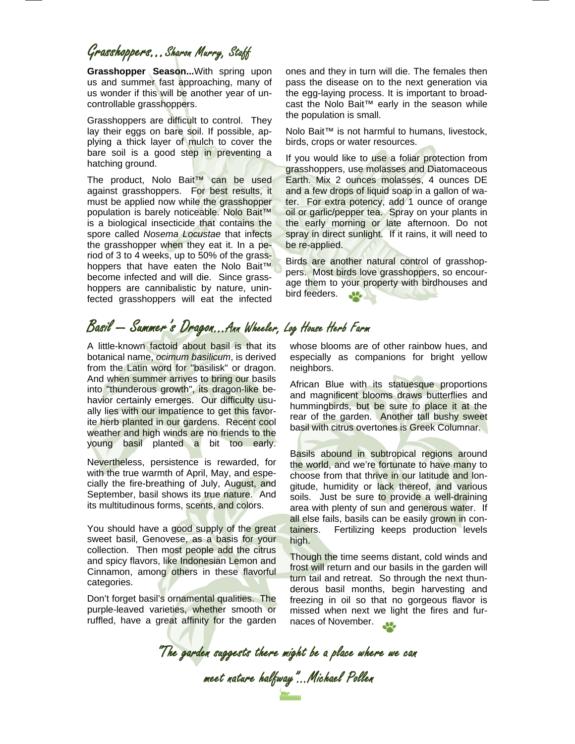### Grasshoppers...Sharon Murry, Staff

**Grasshopper Season...**With spring upon us and summer fast approaching, many of us wonder if this will be another year of uncontrollable grasshoppers.

Grasshoppers are difficult to control. They lay their eggs on bare soil. If possible, applying a thick layer of mulch to cover the bare soil is a good step in preventing a hatching ground.

The product, Nolo Bait™ can be used against grasshoppers. For best results, it must be applied now while the grasshopper population is barely noticeable. Nolo Bait™ is a biological insecticide that contains the spore called *Nosema Locustae* that infects the grasshopper when they eat it. In a period of 3 to 4 weeks, up to 50% of the grasshoppers that have eaten the Nolo Bait™ become infected and will die. Since grasshoppers are cannibalistic by nature, uninfected grasshoppers will eat the infected

ones and they in turn will die. The females then pass the disease on to the next generation via the egg-laying process. It is important to broadcast the Nolo Bait™ early in the season while the population is small.

Nolo Bait™ is not harmful to humans, livestock, birds, crops or water resources.

If you would like to use a foliar protection from grasshoppers, use molasses and Diatomaceous Earth. Mix 2 ounces molasses, 4 ounces DE and a few drops of liquid soap in a gallon of water. For extra potency, add 1 ounce of orange oil or garlic/pepper tea. Spray on your plants in the early morning or late afternoon. Do not spray in direct sunlight. If it rains, it will need to be re-applied.

Birds are another natural control of grasshoppers. Most birds love grasshoppers, so encourage them to your property with birdhouses and bird feeders. **SPORT** 

## Basil — Summer's Dragon...Ann Wheeler, Log House Herb Farm

A little-known factoid about basil is that its botanical name, *ocimum basilicum*, is derived from the Latin word for "basilisk" or dragon. And when summer arrives to bring our basils into "thunderous growth", its dragon-like behavior certainly emerges. Our difficulty usually lies with our impatience to get this favorite herb planted in our gardens. Recent cool weather and high winds are no friends to the young basil planted a bit too early.

Nevertheless, persistence is rewarded, for with the true warmth of April, May, and especially the fire-breathing of July, August, and September, basil shows its true nature. And its multitudinous forms, scents, and colors.

You should have a good supply of the great sweet basil, Genovese, as a basis for your collection. Then most people add the citrus and spicy flavors, like Indonesian Lemon and Cinnamon, among others in these flavorful categories.

Don't forget basil's ornamental qualities. The purple-leaved varieties, whether smooth or ruffled, have a great affinity for the garden

whose blooms are of other rainbow hues, and especially as companions for bright yellow neighbors.

African Blue with its statuesque proportions and magnificent blooms draws butterflies and hummingbirds, but be sure to place it at the rear of the garden. Another tall bushy sweet basil with citrus overtones is Greek Columnar.

Basils abound in subtropical regions around the world, and we're fortunate to have many to choose from that thrive in our latitude and longitude, humidity or lack thereof, and various soils. Just be sure to provide a well-draining area with plenty of sun and generous water. If all else fails, basils can be easily grown in containers. Fertilizing keeps production levels high.

Though the time seems distant, cold winds and frost will return and our basils in the garden will turn tail and retreat. So through the next thunderous basil months, begin harvesting and freezing in oil so that no gorgeous flavor is missed when next we light the fires and furnaces of November.

"The garden suggests there might be a place where we can meet nature halfway"...Michael Pollen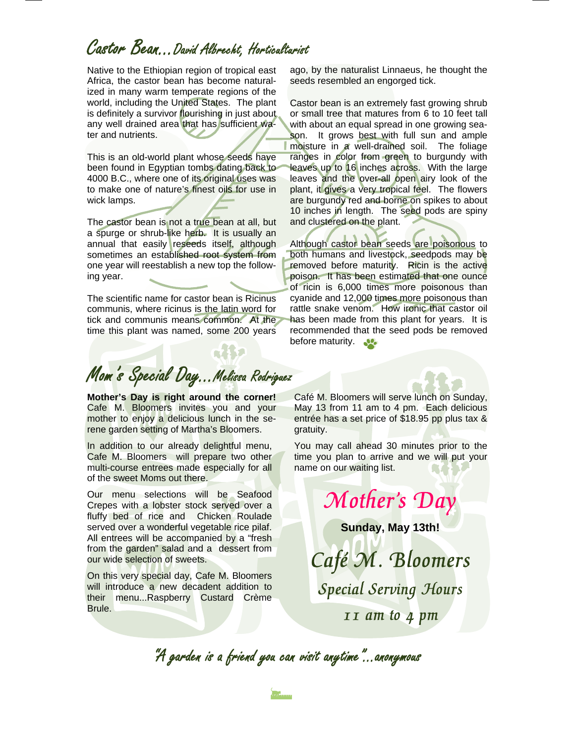## Castor Bean...David Albrecht, Horticulturist

Native to the Ethiopian region of tropical east Africa, the castor bean has become naturalized in many warm temperate regions of the world, including the United States. The plant is definitely a survivor flourishing in just about any well drained area that has sufficient water and nutrients.

This is an old-world plant whose seeds have been found in Egyptian tombs dating back to 4000 B.C., where one of its original uses was to make one of nature's finest oils for use in wick lamps.

The castor bean is not a true bean at all, but a spurge or shrub-like herb. It is usually an annual that easily reseeds itself, although sometimes an established root system from one year will reestablish a new top the following year.

The scientific name for castor bean is Ricinus communis, where ricinus is the latin word for tick and communis means common. At the time this plant was named, some 200 years

ago, by the naturalist Linnaeus, he thought the seeds resembled an engorged tick.

Castor bean is an extremely fast growing shrub or small tree that matures from 6 to 10 feet tall with about an equal spread in one growing season. It grows best with full sun and ample moisture in a well-drained soil. The foliage ranges in color from green to burgundy with leaves up to 16 inches across. With the large leaves and the over-all open airy look of the plant, it gives a very tropical feel. The flowers are burgundy red and borne on spikes to about 10 inches in length. The seed pods are spiny and clustered on the plant.

Although castor bean seeds are poisonous to both humans and livestock, seedpods may be removed before maturity. Ricin is the active poison. It has been estimated that one ounce of ricin is 6,000 times more poisonous than cyanide and 12,000 times more poisonous than rattle snake venom. How ironic that castor oil has been made from this plant for years. It is recommended that the seed pods be removed before maturity.

Mom's Special Day...Melissa Rodriguez

n 132

**Mother's Day is right around the corner!**  Cafe M. Bloomers invites you and your mother to enjoy a delicious lunch in the serene garden setting of Martha's Bloomers.

In addition to our already delightful menu, Cafe M. Bloomers will prepare two other multi-course entrees made especially for all of the sweet Moms out there.

Our menu selections will be Seafood Crepes with a lobster stock served over a fluffy bed of rice and Chicken Roulade served over a wonderful vegetable rice pilaf. All entrees will be accompanied by a "fresh from the garden" salad and a dessert from our wide selection of sweets.

On this very special day, Cafe M. Bloomers will introduce a new decadent addition to their menu...Raspberry Custard Crème Brule.

Café M. Bloomers will serve lunch on Sunday, May 13 from 11 am to 4 pm. Each delicious entrée has a set price of \$18.95 pp plus tax & gratuity.

You may call ahead 30 minutes prior to the time you plan to arrive and we will put your name on our waiting list.

Mother's Day

**Sunday, May 13th!** 

Café M. Bloomers Special Serving Hours 11 am to 4 pm

"A garden is a friend you can visit anytime"...anonymous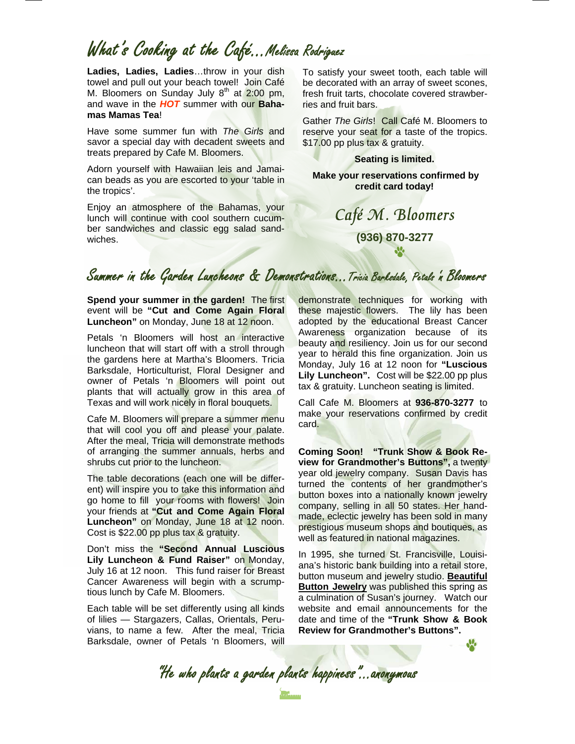## What's Cooking at the Café…Melissa Rodriguez

**Ladies, Ladies, Ladies**…throw in your dish towel and pull out your beach towel! Join Café M. Bloomers on Sunday July  $8<sup>th</sup>$  at 2:00 pm, and wave in the *HOT* summer with our **Bahamas Mamas Tea**!

Have some summer fun with *The Girls* and savor a special day with decadent sweets and treats prepared by Cafe M. Bloomers.

Adorn yourself with Hawaiian leis and Jamaican beads as you are escorted to your 'table in the tropics'.

Enjoy an atmosphere of the Bahamas, your lunch will continue with cool southern cucumber sandwiches and classic egg salad sandwiches.

To satisfy your sweet tooth, each table will be decorated with an array of sweet scones, fresh fruit tarts, chocolate covered strawberries and fruit bars.

Gather *The Girls*! Call Café M. Bloomers to reserve your seat for a taste of the tropics. \$17.00 pp plus tax & gratuity.

**Seating is limited.** 

 **Make your reservations confirmed by credit card today!** 

# Café M. Bloomers **(936) 870-3277**

### Summer in the Garden Luncheons & Demonstrations...Tricia Barksdale, Petals 'n Bloomers

**Spend your summer in the garden!** The first event will be **"Cut and Come Again Floral Luncheon"** on Monday, June 18 at 12 noon.

Petals 'n Bloomers will host an interactive luncheon that will start off with a stroll through the gardens here at Martha's Bloomers. Tricia Barksdale, Horticulturist, Floral Designer and owner of Petals 'n Bloomers will point out plants that will actually grow in this area of Texas and will work nicely in floral bouquets.

Cafe M. Bloomers will prepare a summer menu that will cool you off and please your palate. After the meal, Tricia will demonstrate methods of arranging the summer annuals, herbs and shrubs cut prior to the luncheon.

The table decorations (each one will be different) will inspire you to take this information and go home to fill your rooms with flowers! Join your friends at **"Cut and Come Again Floral Luncheon"** on Monday, June 18 at 12 noon. Cost is \$22.00 pp plus tax & gratuity.

Don't miss the **"Second Annual Luscious Lily Luncheon & Fund Raiser"** on Monday, July 16 at 12 noon. This fund raiser for Breast Cancer Awareness will begin with a scrumptious lunch by Cafe M. Bloomers.

Each table will be set differently using all kinds of lilies — Stargazers, Callas, Orientals, Peruvians, to name a few. After the meal, Tricia Barksdale, owner of Petals 'n Bloomers, will

demonstrate techniques for working with these majestic flowers. The lily has been adopted by the educational Breast Cancer Awareness organization because of its beauty and resiliency. Join us for our second year to herald this fine organization. Join us Monday, July 16 at 12 noon for **"Luscious Lily Luncheon".** Cost will be \$22.00 pp plus tax & gratuity. Luncheon seating is limited.

Call Cafe M. Bloomers at **936-870-3277** to make your reservations confirmed by credit card.

**Coming Soon! "Trunk Show & Book Review for Grandmother's Buttons",** a twenty year old jewelry company. Susan Davis has turned the contents of her grandmother's button boxes into a nationally known jewelry company, selling in all 50 states. Her handmade, eclectic jewelry has been sold in many prestigious museum shops and boutiques, as well as featured in national magazines.

In 1995, she turned St. Francisville, Louisiana's historic bank building into a retail store, button museum and jewelry studio. **Beautiful Button Jewelry** was published this spring as a culmination of Susan's journey. Watch our website and email announcements for the date and time of the **"Trunk Show & Book Review for Grandmother's Buttons".**

**M** 

"He who plants a garden plants happiness"...anonymous